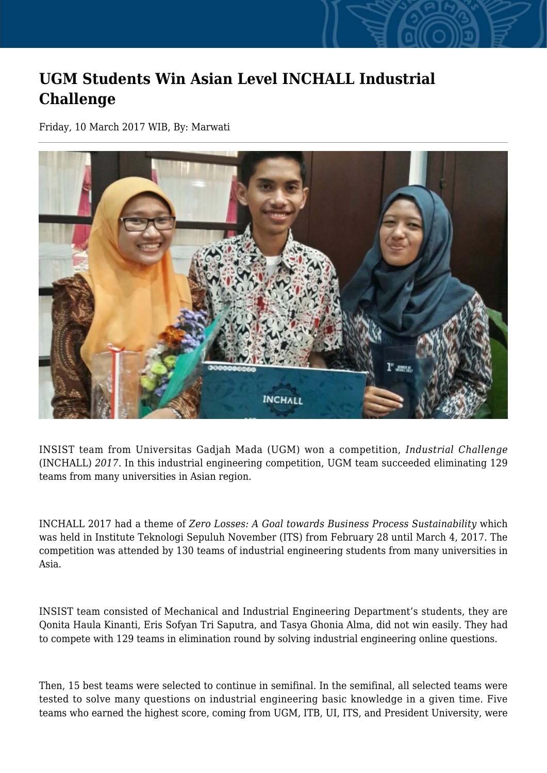## **UGM Students Win Asian Level INCHALL Industrial Challenge**

Friday, 10 March 2017 WIB, By: Marwati



INSIST team from Universitas Gadjah Mada (UGM) won a competition, *Industrial Challenge* (INCHALL) *2017*. In this industrial engineering competition, UGM team succeeded eliminating 129 teams from many universities in Asian region.

INCHALL 2017 had a theme of *Zero Losses: A Goal towards Business Process Sustainability* which was held in Institute Teknologi Sepuluh November (ITS) from February 28 until March 4, 2017. The competition was attended by 130 teams of industrial engineering students from many universities in Asia.

INSIST team consisted of Mechanical and Industrial Engineering Department's students, they are Qonita Haula Kinanti, Eris Sofyan Tri Saputra, and Tasya Ghonia Alma, did not win easily. They had to compete with 129 teams in elimination round by solving industrial engineering online questions.

Then, 15 best teams were selected to continue in semifinal. In the semifinal, all selected teams were tested to solve many questions on industrial engineering basic knowledge in a given time. Five teams who earned the highest score, coming from UGM, ITB, UI, ITS, and President University, were